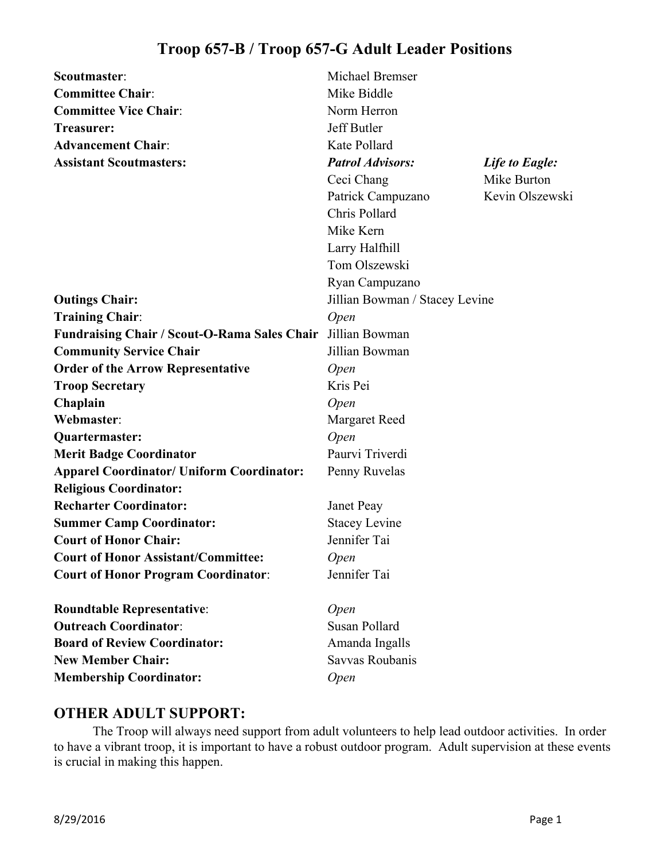| Scoutmaster:                                        | Michael Bremser                |                 |
|-----------------------------------------------------|--------------------------------|-----------------|
| <b>Committee Chair:</b>                             | Mike Biddle                    |                 |
| <b>Committee Vice Chair:</b>                        | Norm Herron                    |                 |
| Treasurer:                                          | Jeff Butler                    |                 |
| <b>Advancement Chair:</b>                           | Kate Pollard                   |                 |
| <b>Assistant Scoutmasters:</b>                      | <b>Patrol Advisors:</b>        | Life to Eagle:  |
|                                                     | Ceci Chang                     | Mike Burton     |
|                                                     | Patrick Campuzano              | Kevin Olszewski |
|                                                     | Chris Pollard                  |                 |
|                                                     | Mike Kern                      |                 |
|                                                     | Larry Halfhill                 |                 |
|                                                     | Tom Olszewski                  |                 |
|                                                     | Ryan Campuzano                 |                 |
| <b>Outings Chair:</b>                               | Jillian Bowman / Stacey Levine |                 |
| <b>Training Chair:</b>                              | <i>Open</i>                    |                 |
| <b>Fundraising Chair / Scout-O-Rama Sales Chair</b> | Jillian Bowman                 |                 |
| <b>Community Service Chair</b>                      | Jillian Bowman                 |                 |
| <b>Order of the Arrow Representative</b>            | <i>Open</i>                    |                 |
| <b>Troop Secretary</b>                              | Kris Pei                       |                 |
| Chaplain                                            | <i>Open</i>                    |                 |
| Webmaster:                                          | <b>Margaret Reed</b>           |                 |
| Quartermaster:                                      | Open                           |                 |
| <b>Merit Badge Coordinator</b>                      | Paurvi Triverdi                |                 |
| <b>Apparel Coordinator/ Uniform Coordinator:</b>    | Penny Ruvelas                  |                 |
| <b>Religious Coordinator:</b>                       |                                |                 |
| <b>Recharter Coordinator:</b>                       | Janet Peay                     |                 |
| <b>Summer Camp Coordinator:</b>                     | <b>Stacey Levine</b>           |                 |
| <b>Court of Honor Chair:</b>                        | Jennifer Tai                   |                 |
| <b>Court of Honor Assistant/Committee:</b>          | Open                           |                 |
| <b>Court of Honor Program Coordinator:</b>          | Jennifer Tai                   |                 |
| <b>Roundtable Representative:</b>                   | <i>Open</i>                    |                 |
| <b>Outreach Coordinator:</b>                        | Susan Pollard                  |                 |
| <b>Board of Review Coordinator:</b>                 | Amanda Ingalls                 |                 |
| <b>New Member Chair:</b>                            | Savvas Roubanis                |                 |

## **OTHER ADULT SUPPORT:**

**Membership Coordinator:** *Open*

 The Troop will always need support from adult volunteers to help lead outdoor activities. In order to have a vibrant troop, it is important to have a robust outdoor program. Adult supervision at these events is crucial in making this happen.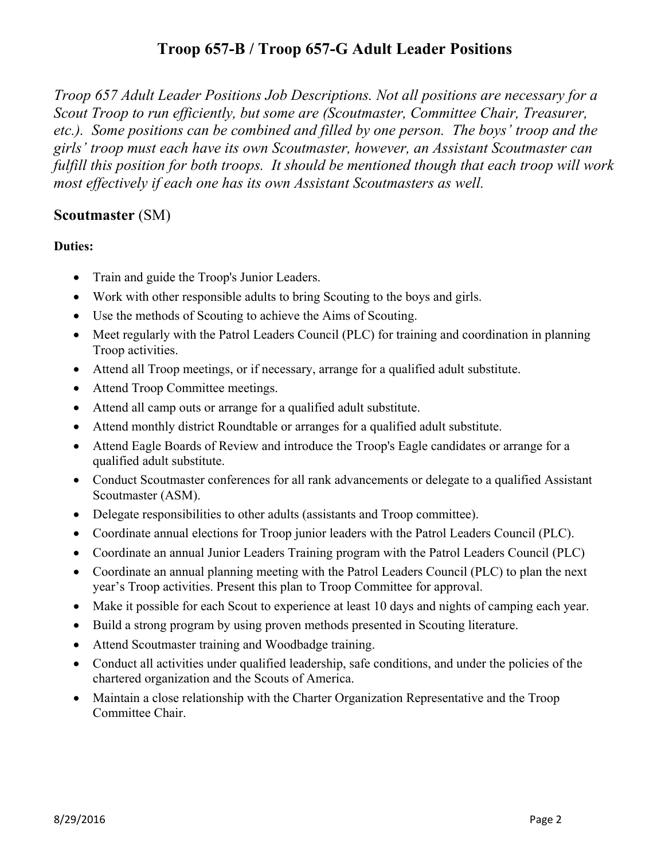*Troop 657 Adult Leader Positions Job Descriptions. Not all positions are necessary for a Scout Troop to run efficiently, but some are (Scoutmaster, Committee Chair, Treasurer, etc.). Some positions can be combined and filled by one person. The boys' troop and the girls' troop must each have its own Scoutmaster, however, an Assistant Scoutmaster can fulfill this position for both troops. It should be mentioned though that each troop will work most effectively if each one has its own Assistant Scoutmasters as well.* 

### **Scoutmaster** (SM)

- Train and guide the Troop's Junior Leaders.
- Work with other responsible adults to bring Scouting to the boys and girls.
- Use the methods of Scouting to achieve the Aims of Scouting.
- Meet regularly with the Patrol Leaders Council (PLC) for training and coordination in planning Troop activities.
- Attend all Troop meetings, or if necessary, arrange for a qualified adult substitute.
- Attend Troop Committee meetings.
- Attend all camp outs or arrange for a qualified adult substitute.
- Attend monthly district Roundtable or arranges for a qualified adult substitute.
- Attend Eagle Boards of Review and introduce the Troop's Eagle candidates or arrange for a qualified adult substitute.
- Conduct Scoutmaster conferences for all rank advancements or delegate to a qualified Assistant Scoutmaster (ASM).
- Delegate responsibilities to other adults (assistants and Troop committee).
- Coordinate annual elections for Troop junior leaders with the Patrol Leaders Council (PLC).
- Coordinate an annual Junior Leaders Training program with the Patrol Leaders Council (PLC)
- Coordinate an annual planning meeting with the Patrol Leaders Council (PLC) to plan the next year's Troop activities. Present this plan to Troop Committee for approval.
- Make it possible for each Scout to experience at least 10 days and nights of camping each year.
- Build a strong program by using proven methods presented in Scouting literature.
- Attend Scoutmaster training and Woodbadge training.
- Conduct all activities under qualified leadership, safe conditions, and under the policies of the chartered organization and the Scouts of America.
- Maintain a close relationship with the Charter Organization Representative and the Troop Committee Chair.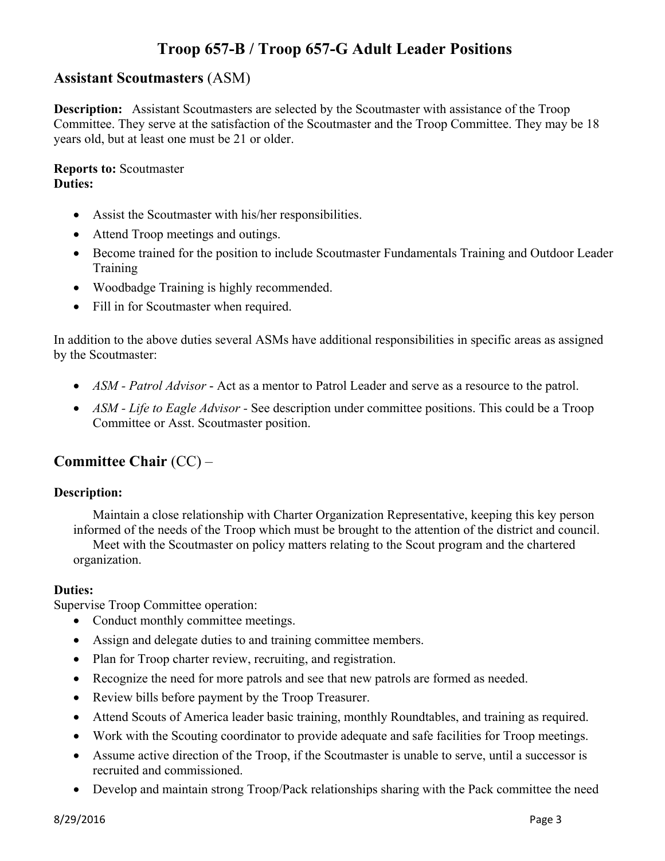## **Assistant Scoutmasters** (ASM)

**Description:** Assistant Scoutmasters are selected by the Scoutmaster with assistance of the Troop Committee. They serve at the satisfaction of the Scoutmaster and the Troop Committee. They may be 18 years old, but at least one must be 21 or older.

**Reports to:** Scoutmaster **Duties:**

- Assist the Scoutmaster with his/her responsibilities.
- Attend Troop meetings and outings.
- Become trained for the position to include Scoutmaster Fundamentals Training and Outdoor Leader Training
- Woodbadge Training is highly recommended.
- Fill in for Scoutmaster when required.

In addition to the above duties several ASMs have additional responsibilities in specific areas as assigned by the Scoutmaster:

- *ASM Patrol Advisor* Act as a mentor to Patrol Leader and serve as a resource to the patrol.
- *ASM Life to Eagle Advisor* See description under committee positions. This could be a Troop Committee or Asst. Scoutmaster position.

# **Committee Chair** (CC) –

#### **Description:**

Maintain a close relationship with Charter Organization Representative, keeping this key person informed of the needs of the Troop which must be brought to the attention of the district and council. Meet with the Scoutmaster on policy matters relating to the Scout program and the chartered organization.

#### **Duties:**

Supervise Troop Committee operation:

- Conduct monthly committee meetings.
- Assign and delegate duties to and training committee members.
- Plan for Troop charter review, recruiting, and registration.
- Recognize the need for more patrols and see that new patrols are formed as needed.
- Review bills before payment by the Troop Treasurer.
- Attend Scouts of America leader basic training, monthly Roundtables, and training as required.
- Work with the Scouting coordinator to provide adequate and safe facilities for Troop meetings.
- Assume active direction of the Troop, if the Scoutmaster is unable to serve, until a successor is recruited and commissioned.
- Develop and maintain strong Troop/Pack relationships sharing with the Pack committee the need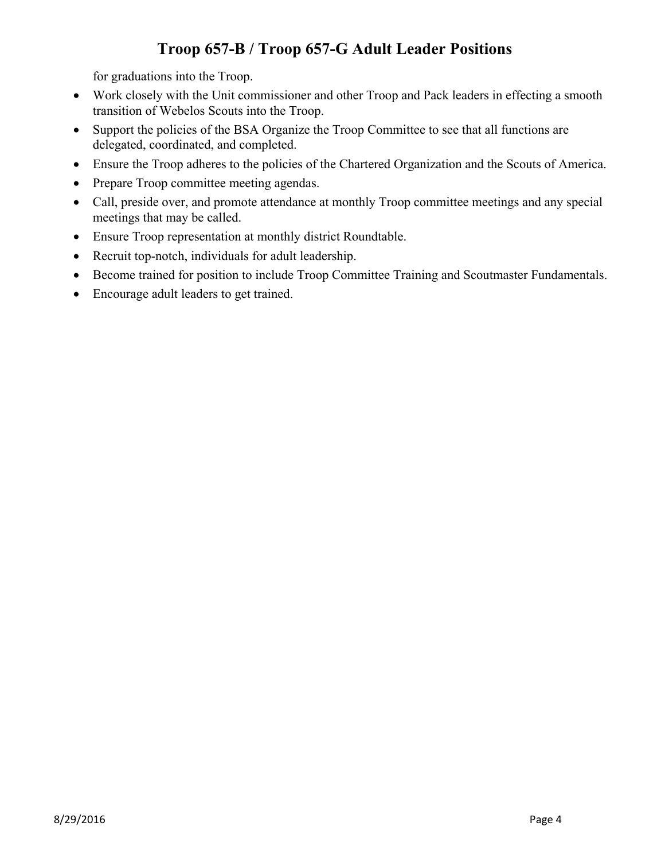for graduations into the Troop.

- Work closely with the Unit commissioner and other Troop and Pack leaders in effecting a smooth transition of Webelos Scouts into the Troop.
- Support the policies of the BSA Organize the Troop Committee to see that all functions are delegated, coordinated, and completed.
- Ensure the Troop adheres to the policies of the Chartered Organization and the Scouts of America.
- Prepare Troop committee meeting agendas.
- Call, preside over, and promote attendance at monthly Troop committee meetings and any special meetings that may be called.
- Ensure Troop representation at monthly district Roundtable.
- Recruit top-notch, individuals for adult leadership.
- Become trained for position to include Troop Committee Training and Scoutmaster Fundamentals.
- Encourage adult leaders to get trained.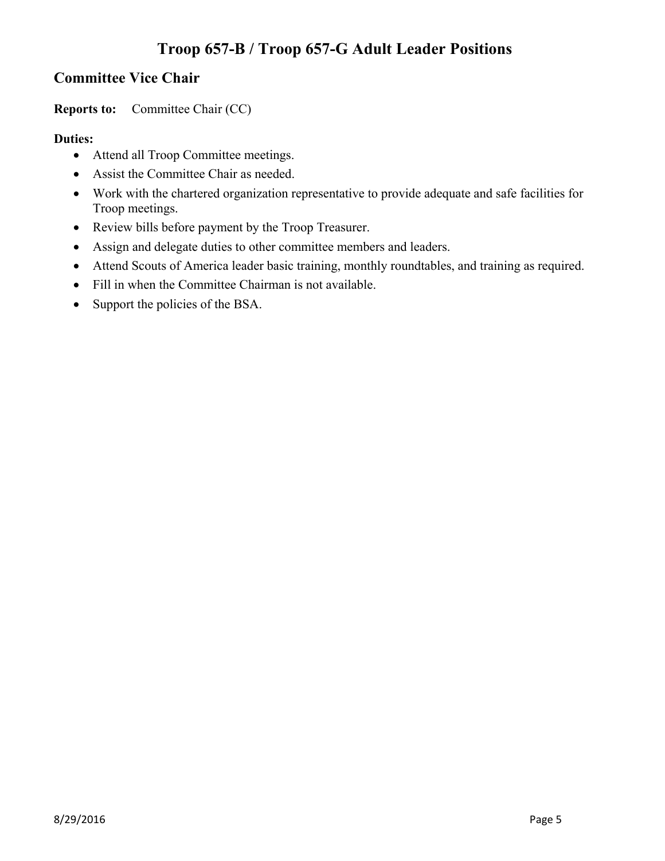## **Committee Vice Chair**

**Reports to:** Committee Chair (CC)

- Attend all Troop Committee meetings.
- Assist the Committee Chair as needed.
- Work with the chartered organization representative to provide adequate and safe facilities for Troop meetings.
- Review bills before payment by the Troop Treasurer.
- Assign and delegate duties to other committee members and leaders.
- Attend Scouts of America leader basic training, monthly roundtables, and training as required.
- Fill in when the Committee Chairman is not available.
- Support the policies of the BSA.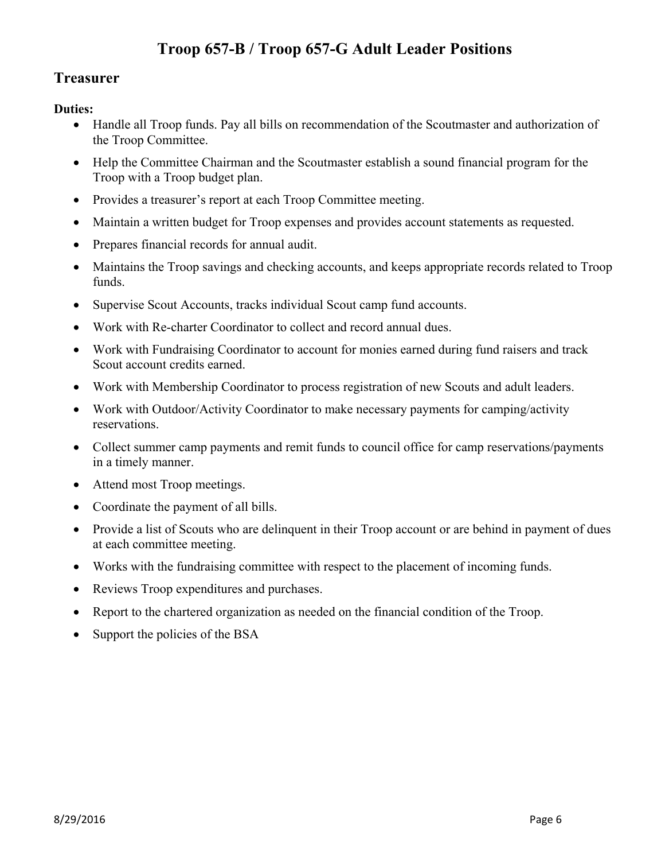## **Treasurer**

- Handle all Troop funds. Pay all bills on recommendation of the Scoutmaster and authorization of the Troop Committee.
- Help the Committee Chairman and the Scoutmaster establish a sound financial program for the Troop with a Troop budget plan.
- Provides a treasurer's report at each Troop Committee meeting.
- Maintain a written budget for Troop expenses and provides account statements as requested.
- Prepares financial records for annual audit.
- Maintains the Troop savings and checking accounts, and keeps appropriate records related to Troop funds.
- Supervise Scout Accounts, tracks individual Scout camp fund accounts.
- Work with Re-charter Coordinator to collect and record annual dues.
- Work with Fundraising Coordinator to account for monies earned during fund raisers and track Scout account credits earned.
- Work with Membership Coordinator to process registration of new Scouts and adult leaders.
- Work with Outdoor/Activity Coordinator to make necessary payments for camping/activity reservations.
- Collect summer camp payments and remit funds to council office for camp reservations/payments in a timely manner.
- Attend most Troop meetings.
- Coordinate the payment of all bills.
- Provide a list of Scouts who are delinquent in their Troop account or are behind in payment of dues at each committee meeting.
- Works with the fundraising committee with respect to the placement of incoming funds.
- Reviews Troop expenditures and purchases.
- Report to the chartered organization as needed on the financial condition of the Troop.
- Support the policies of the BSA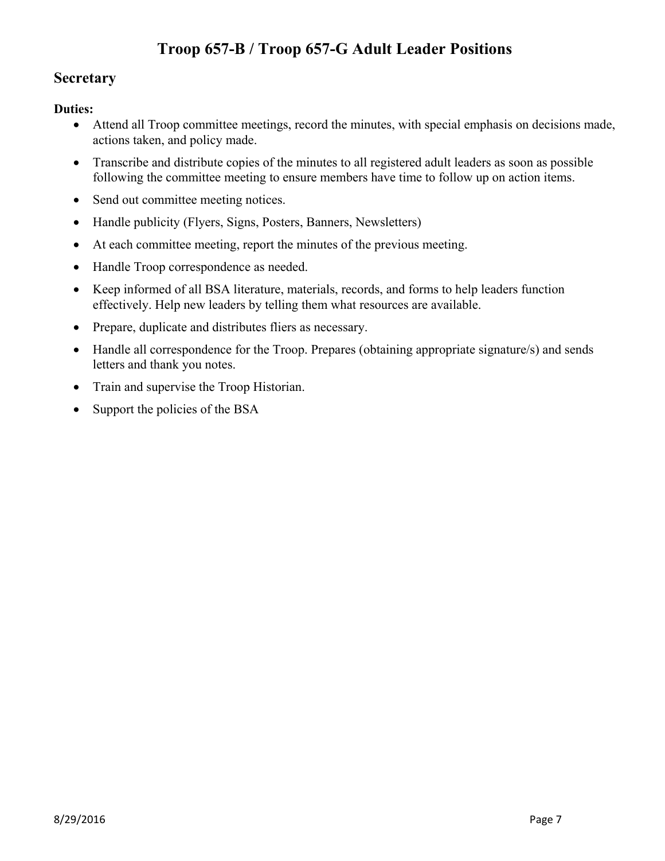## **Secretary**

- Attend all Troop committee meetings, record the minutes, with special emphasis on decisions made, actions taken, and policy made.
- Transcribe and distribute copies of the minutes to all registered adult leaders as soon as possible following the committee meeting to ensure members have time to follow up on action items.
- Send out committee meeting notices.
- Handle publicity (Flyers, Signs, Posters, Banners, Newsletters)
- At each committee meeting, report the minutes of the previous meeting.
- Handle Troop correspondence as needed.
- Keep informed of all BSA literature, materials, records, and forms to help leaders function effectively. Help new leaders by telling them what resources are available.
- Prepare, duplicate and distributes fliers as necessary.
- Handle all correspondence for the Troop. Prepares (obtaining appropriate signature/s) and sends letters and thank you notes.
- Train and supervise the Troop Historian.
- Support the policies of the BSA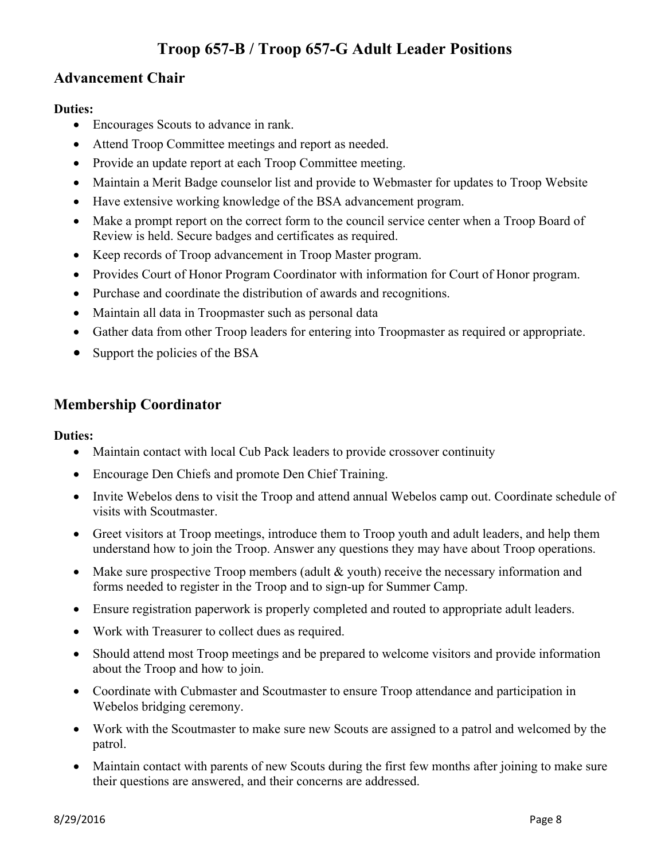## **Advancement Chair**

#### **Duties:**

- Encourages Scouts to advance in rank.
- Attend Troop Committee meetings and report as needed.
- Provide an update report at each Troop Committee meeting.
- Maintain a Merit Badge counselor list and provide to Webmaster for updates to Troop Website
- Have extensive working knowledge of the BSA advancement program.
- Make a prompt report on the correct form to the council service center when a Troop Board of Review is held. Secure badges and certificates as required.
- Keep records of Troop advancement in Troop Master program.
- Provides Court of Honor Program Coordinator with information for Court of Honor program.
- Purchase and coordinate the distribution of awards and recognitions.
- Maintain all data in Troopmaster such as personal data
- Gather data from other Troop leaders for entering into Troopmaster as required or appropriate.
- Support the policies of the BSA

## **Membership Coordinator**

- Maintain contact with local Cub Pack leaders to provide crossover continuity
- Encourage Den Chiefs and promote Den Chief Training.
- Invite Webelos dens to visit the Troop and attend annual Webelos camp out. Coordinate schedule of visits with Scoutmaster.
- Greet visitors at Troop meetings, introduce them to Troop youth and adult leaders, and help them understand how to join the Troop. Answer any questions they may have about Troop operations.
- Make sure prospective Troop members (adult & youth) receive the necessary information and forms needed to register in the Troop and to sign-up for Summer Camp.
- Ensure registration paperwork is properly completed and routed to appropriate adult leaders.
- Work with Treasurer to collect dues as required.
- Should attend most Troop meetings and be prepared to welcome visitors and provide information about the Troop and how to join.
- Coordinate with Cubmaster and Scoutmaster to ensure Troop attendance and participation in Webelos bridging ceremony.
- Work with the Scoutmaster to make sure new Scouts are assigned to a patrol and welcomed by the patrol.
- Maintain contact with parents of new Scouts during the first few months after joining to make sure their questions are answered, and their concerns are addressed.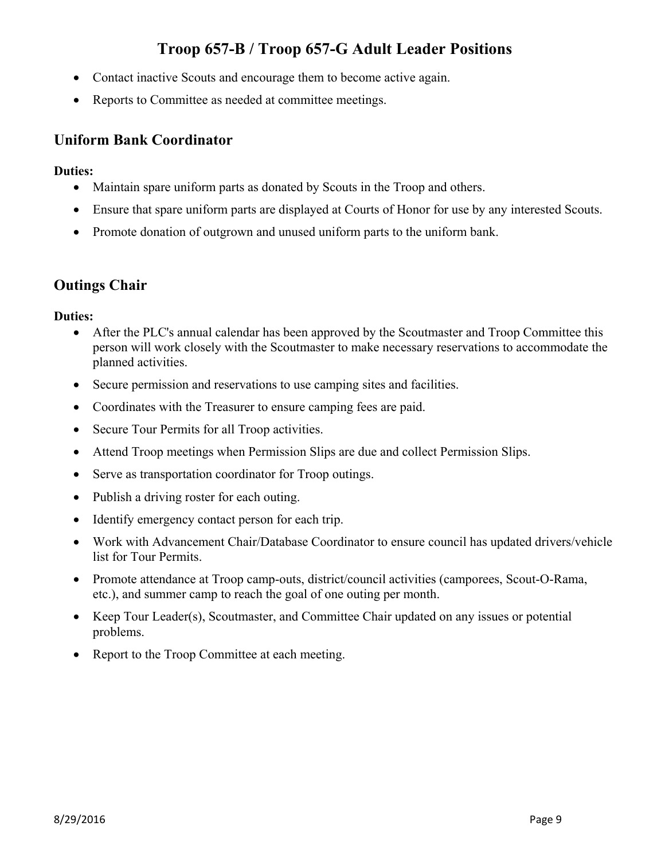- Contact inactive Scouts and encourage them to become active again.
- Reports to Committee as needed at committee meetings.

## **Uniform Bank Coordinator**

### **Duties:**

- Maintain spare uniform parts as donated by Scouts in the Troop and others.
- Ensure that spare uniform parts are displayed at Courts of Honor for use by any interested Scouts.
- Promote donation of outgrown and unused uniform parts to the uniform bank.

## **Outings Chair**

- After the PLC's annual calendar has been approved by the Scoutmaster and Troop Committee this person will work closely with the Scoutmaster to make necessary reservations to accommodate the planned activities.
- Secure permission and reservations to use camping sites and facilities.
- Coordinates with the Treasurer to ensure camping fees are paid.
- Secure Tour Permits for all Troop activities.
- Attend Troop meetings when Permission Slips are due and collect Permission Slips.
- Serve as transportation coordinator for Troop outings.
- Publish a driving roster for each outing.
- Identify emergency contact person for each trip.
- Work with Advancement Chair/Database Coordinator to ensure council has updated drivers/vehicle list for Tour Permits.
- Promote attendance at Troop camp-outs, district/council activities (camporees, Scout-O-Rama, etc.), and summer camp to reach the goal of one outing per month.
- Keep Tour Leader(s), Scoutmaster, and Committee Chair updated on any issues or potential problems.
- Report to the Troop Committee at each meeting.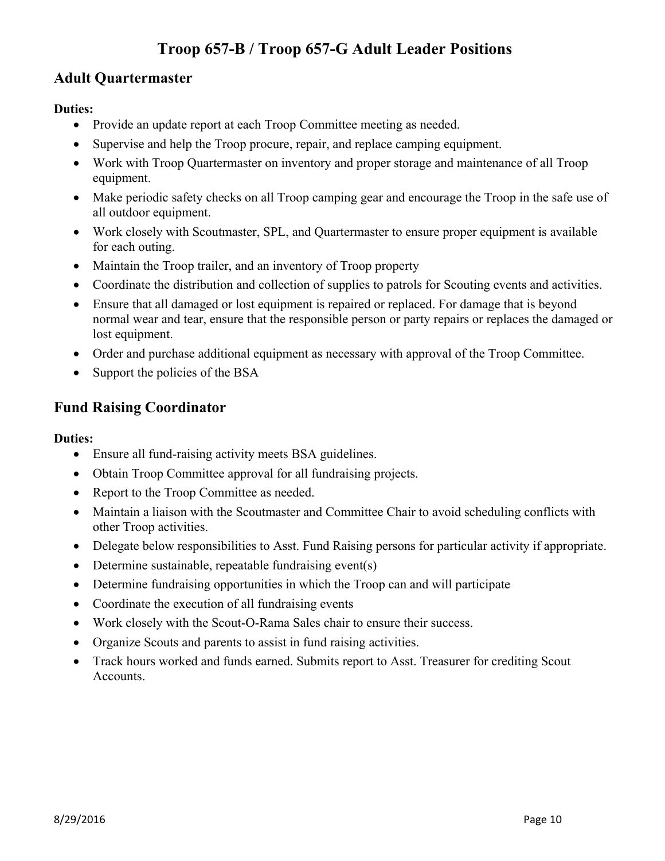## **Adult Quartermaster**

### **Duties:**

- Provide an update report at each Troop Committee meeting as needed.
- Supervise and help the Troop procure, repair, and replace camping equipment.
- Work with Troop Quartermaster on inventory and proper storage and maintenance of all Troop equipment.
- Make periodic safety checks on all Troop camping gear and encourage the Troop in the safe use of all outdoor equipment.
- Work closely with Scoutmaster, SPL, and Quartermaster to ensure proper equipment is available for each outing.
- Maintain the Troop trailer, and an inventory of Troop property
- Coordinate the distribution and collection of supplies to patrols for Scouting events and activities.
- Ensure that all damaged or lost equipment is repaired or replaced. For damage that is beyond normal wear and tear, ensure that the responsible person or party repairs or replaces the damaged or lost equipment.
- Order and purchase additional equipment as necessary with approval of the Troop Committee.
- Support the policies of the BSA

### **Fund Raising Coordinator**

- Ensure all fund-raising activity meets BSA guidelines.
- Obtain Troop Committee approval for all fundraising projects.
- Report to the Troop Committee as needed.
- Maintain a liaison with the Scoutmaster and Committee Chair to avoid scheduling conflicts with other Troop activities.
- Delegate below responsibilities to Asst. Fund Raising persons for particular activity if appropriate.
- Determine sustainable, repeatable fundraising event(s)
- Determine fundraising opportunities in which the Troop can and will participate
- Coordinate the execution of all fundraising events
- Work closely with the Scout-O-Rama Sales chair to ensure their success.
- Organize Scouts and parents to assist in fund raising activities.
- Track hours worked and funds earned. Submits report to Asst. Treasurer for crediting Scout Accounts.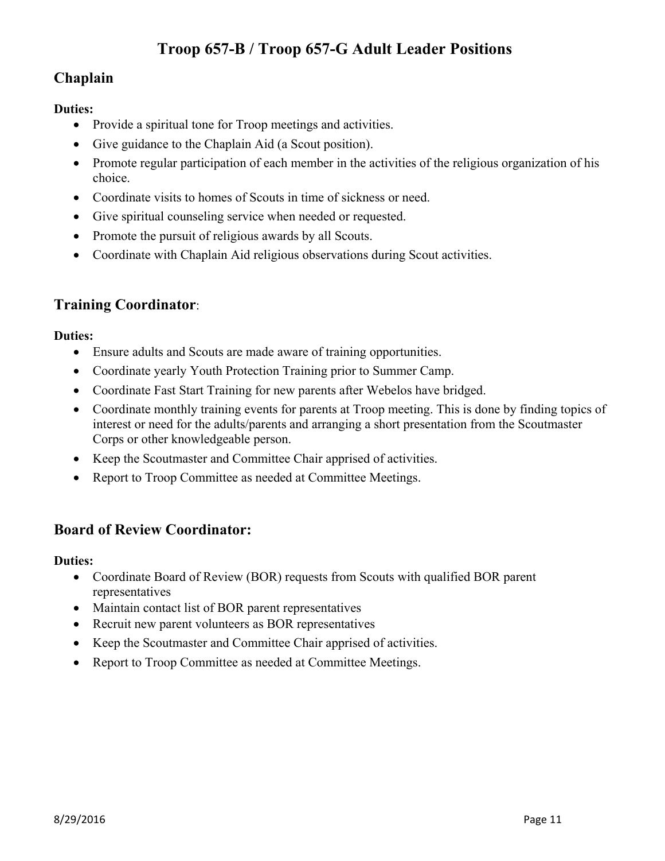# **Chaplain**

### **Duties:**

- Provide a spiritual tone for Troop meetings and activities.
- Give guidance to the Chaplain Aid (a Scout position).
- Promote regular participation of each member in the activities of the religious organization of his choice.
- Coordinate visits to homes of Scouts in time of sickness or need.
- Give spiritual counseling service when needed or requested.
- Promote the pursuit of religious awards by all Scouts.
- Coordinate with Chaplain Aid religious observations during Scout activities.

# **Training Coordinator**:

### **Duties:**

- Ensure adults and Scouts are made aware of training opportunities.
- Coordinate yearly Youth Protection Training prior to Summer Camp.
- Coordinate Fast Start Training for new parents after Webelos have bridged.
- Coordinate monthly training events for parents at Troop meeting. This is done by finding topics of interest or need for the adults/parents and arranging a short presentation from the Scoutmaster Corps or other knowledgeable person.
- Keep the Scoutmaster and Committee Chair apprised of activities.
- Report to Troop Committee as needed at Committee Meetings.

## **Board of Review Coordinator:**

- Coordinate Board of Review (BOR) requests from Scouts with qualified BOR parent representatives
- Maintain contact list of BOR parent representatives
- Recruit new parent volunteers as BOR representatives
- Keep the Scoutmaster and Committee Chair apprised of activities.
- Report to Troop Committee as needed at Committee Meetings.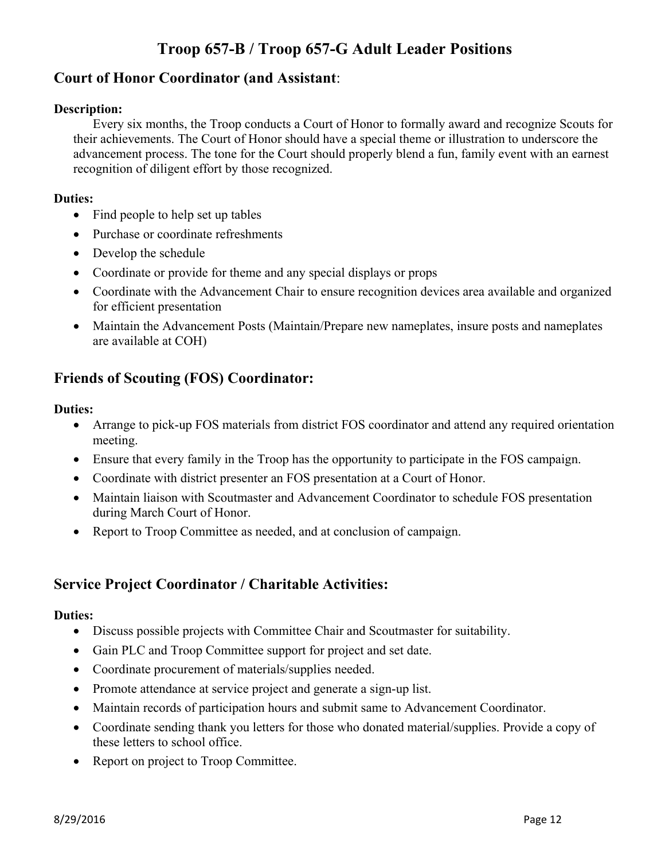## **Court of Honor Coordinator (and Assistant**:

### **Description:**

Every six months, the Troop conducts a Court of Honor to formally award and recognize Scouts for their achievements. The Court of Honor should have a special theme or illustration to underscore the advancement process. The tone for the Court should properly blend a fun, family event with an earnest recognition of diligent effort by those recognized.

### **Duties:**

- Find people to help set up tables
- Purchase or coordinate refreshments
- Develop the schedule
- Coordinate or provide for theme and any special displays or props
- Coordinate with the Advancement Chair to ensure recognition devices area available and organized for efficient presentation
- Maintain the Advancement Posts (Maintain/Prepare new nameplates, insure posts and nameplates are available at COH)

# **Friends of Scouting (FOS) Coordinator:**

### **Duties:**

- Arrange to pick-up FOS materials from district FOS coordinator and attend any required orientation meeting.
- Ensure that every family in the Troop has the opportunity to participate in the FOS campaign.
- Coordinate with district presenter an FOS presentation at a Court of Honor.
- Maintain liaison with Scoutmaster and Advancement Coordinator to schedule FOS presentation during March Court of Honor.
- Report to Troop Committee as needed, and at conclusion of campaign.

## **Service Project Coordinator / Charitable Activities:**

- Discuss possible projects with Committee Chair and Scoutmaster for suitability.
- Gain PLC and Troop Committee support for project and set date.
- Coordinate procurement of materials/supplies needed.
- Promote attendance at service project and generate a sign-up list.
- Maintain records of participation hours and submit same to Advancement Coordinator.
- Coordinate sending thank you letters for those who donated material/supplies. Provide a copy of these letters to school office.
- Report on project to Troop Committee.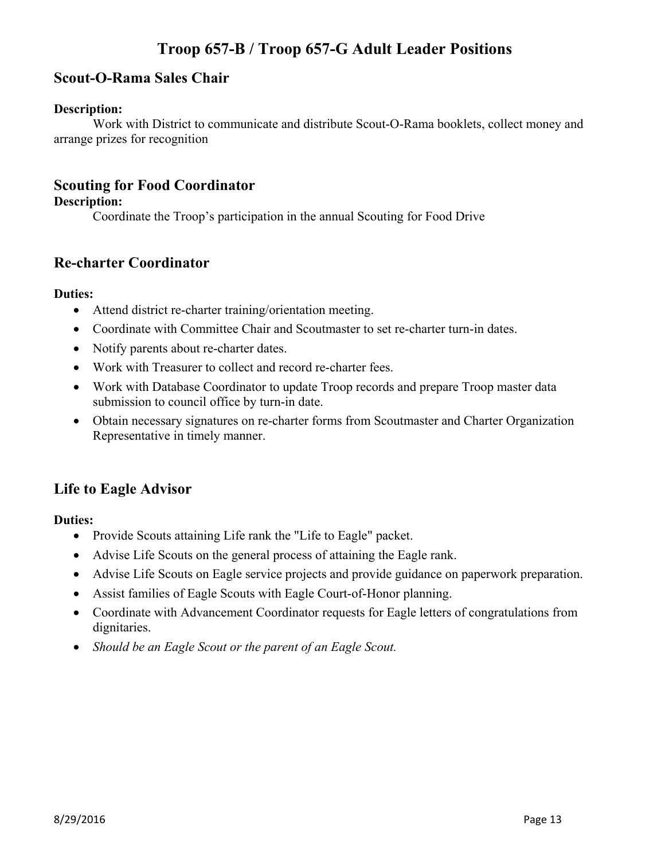### **Scout-O-Rama Sales Chair**

#### **Description:**

Work with District to communicate and distribute Scout-O-Rama booklets, collect money and arrange prizes for recognition

### **Scouting for Food Coordinator**

### **Description:**

Coordinate the Troop's participation in the annual Scouting for Food Drive

### **Re-charter Coordinator**

### **Duties:**

- Attend district re-charter training/orientation meeting.
- Coordinate with Committee Chair and Scoutmaster to set re-charter turn-in dates.
- Notify parents about re-charter dates.
- Work with Treasurer to collect and record re-charter fees.
- Work with Database Coordinator to update Troop records and prepare Troop master data submission to council office by turn-in date.
- Obtain necessary signatures on re-charter forms from Scoutmaster and Charter Organization Representative in timely manner.

## **Life to Eagle Advisor**

- Provide Scouts attaining Life rank the "Life to Eagle" packet.
- Advise Life Scouts on the general process of attaining the Eagle rank.
- Advise Life Scouts on Eagle service projects and provide guidance on paperwork preparation.
- Assist families of Eagle Scouts with Eagle Court-of-Honor planning.
- Coordinate with Advancement Coordinator requests for Eagle letters of congratulations from dignitaries.
- *Should be an Eagle Scout or the parent of an Eagle Scout.*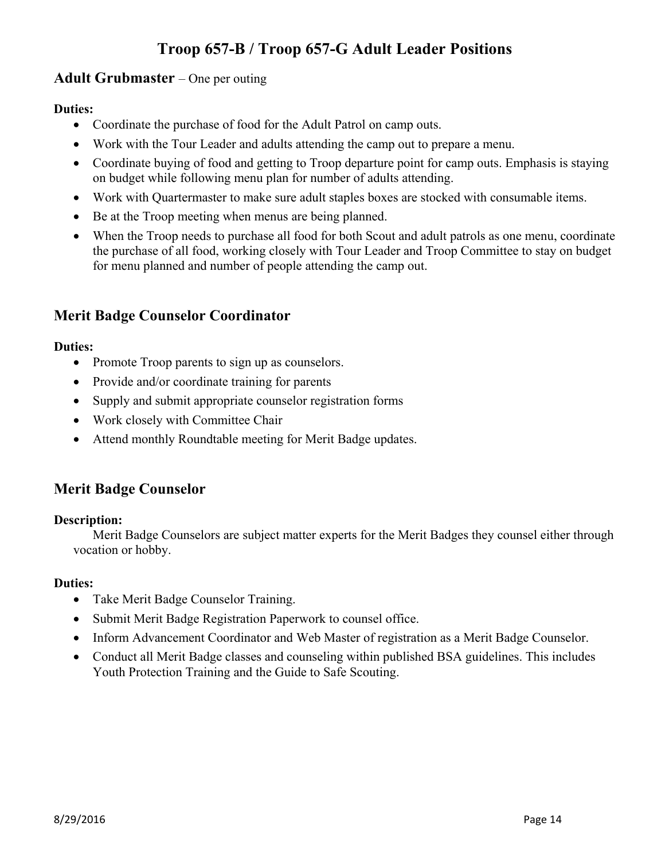### **Adult Grubmaster** – One per outing

### **Duties:**

- Coordinate the purchase of food for the Adult Patrol on camp outs.
- Work with the Tour Leader and adults attending the camp out to prepare a menu.
- Coordinate buying of food and getting to Troop departure point for camp outs. Emphasis is staying on budget while following menu plan for number of adults attending.
- Work with Quartermaster to make sure adult staples boxes are stocked with consumable items.
- Be at the Troop meeting when menus are being planned.
- When the Troop needs to purchase all food for both Scout and adult patrols as one menu, coordinate the purchase of all food, working closely with Tour Leader and Troop Committee to stay on budget for menu planned and number of people attending the camp out.

## **Merit Badge Counselor Coordinator**

### **Duties:**

- Promote Troop parents to sign up as counselors.
- Provide and/or coordinate training for parents
- Supply and submit appropriate counselor registration forms
- Work closely with Committee Chair
- Attend monthly Roundtable meeting for Merit Badge updates.

## **Merit Badge Counselor**

#### **Description:**

Merit Badge Counselors are subject matter experts for the Merit Badges they counsel either through vocation or hobby.

- Take Merit Badge Counselor Training.
- Submit Merit Badge Registration Paperwork to counsel office.
- Inform Advancement Coordinator and Web Master of registration as a Merit Badge Counselor.
- Conduct all Merit Badge classes and counseling within published BSA guidelines. This includes Youth Protection Training and the Guide to Safe Scouting.